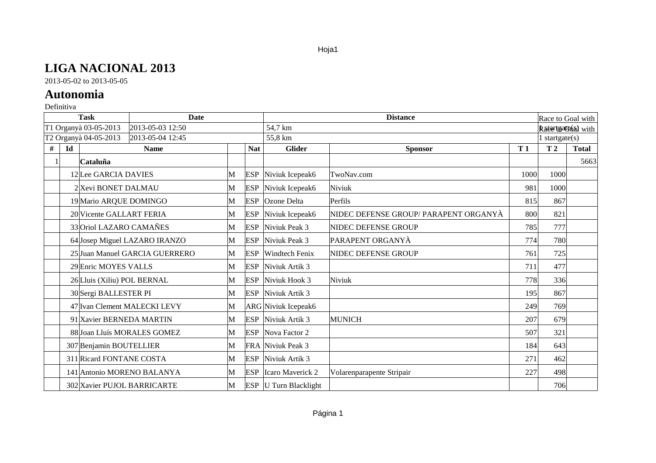## **LIGA NACIONAL 2013**

2013-05-02 to 2013-05-05

## **Autonomia**

## Definitiva

| <b>Task</b><br><b>Date</b>                |    |                             |                                |   |            | <b>Distance</b>              |                                       |      |                     | Race to Goal with         |  |
|-------------------------------------------|----|-----------------------------|--------------------------------|---|------------|------------------------------|---------------------------------------|------|---------------------|---------------------------|--|
| T1 Organyà 03-05-2013<br>2013-05-03 12:50 |    |                             |                                |   |            | 54,7 km                      |                                       |      |                     | <b>Rate tsate6al</b> with |  |
|                                           |    | T2 Organyà 04-05-2013       | 2013-05-04 12:45               |   |            | 55,8 km                      |                                       |      | $1$ startgate $(s)$ |                           |  |
| #                                         | Id |                             | <b>Name</b>                    |   | <b>Nat</b> | <b>Glider</b>                | <b>Sponsor</b>                        | T1   | T <sub>2</sub>      | <b>Total</b>              |  |
|                                           |    | Cataluña                    |                                |   |            |                              |                                       |      |                     | 5663                      |  |
|                                           |    | 12Lee GARCIA DAVIES         |                                | M | <b>ESP</b> | Niviuk Icepeak6              | TwoNav.com                            | 1000 | 1000                |                           |  |
|                                           |    | 2 Xevi BONET DALMAU         |                                | M | <b>ESP</b> | Niviuk Icepeak6              | Niviuk                                | 981  | 1000                |                           |  |
|                                           |    | 19 Mario ARQUE DOMINGO      |                                | M | ESP        | <b>Ozone Delta</b>           | Perfils                               | 815  | 867                 |                           |  |
|                                           |    | 20 Vicente GALLART FERIA    |                                | M |            | ESP Niviuk Icepeak6          | NIDEC DEFENSE GROUP/ PARAPENT ORGANYÀ | 800  | 821                 |                           |  |
|                                           |    | 33 Oriol LAZARO CAMAÑES     |                                | M |            | <b>ESP</b> Niviuk Peak 3     | NIDEC DEFENSE GROUP                   | 785  | 777                 |                           |  |
|                                           |    |                             | 64 Josep Miguel LAZARO IRANZO  | M | <b>ESP</b> | Niviuk Peak 3                | PARAPENT ORGANYÀ                      | 774  | 780                 |                           |  |
|                                           |    |                             | 25 Juan Manuel GARCIA GUERRERO | M | <b>ESP</b> | <b>Windtech Fenix</b>        | NIDEC DEFENSE GROUP                   | 761  | 725                 |                           |  |
|                                           |    | 29 Enric MOYES VALLS        |                                | M | <b>ESP</b> | Niviuk Artik 3               |                                       | 711  | 477                 |                           |  |
|                                           |    | 26 Lluis (Xiliu) POL BERNAL |                                | M |            | ESP Niviuk Hook 3            | Niviuk                                | 778  | 336                 |                           |  |
|                                           |    | 30 Sergi BALLESTER PI       |                                | M |            | ESP Niviuk Artik 3           |                                       | 195  | 867                 |                           |  |
|                                           |    |                             | 47 Ivan Clement MALECKI LEVY   | M |            | ARG Niviuk Icepeak6          |                                       | 249  | 769                 |                           |  |
|                                           |    |                             | 91 Xavier BERNEDA MARTIN       | M |            | ESP Niviuk Artik 3           | <b>MUNICH</b>                         | 207  | 679                 |                           |  |
|                                           |    |                             | 88 Joan Lluís MORALES GOMEZ    | M |            | ESP Nova Factor 2            |                                       | 507  | 321                 |                           |  |
|                                           |    | 307 Benjamin BOUTELLIER     |                                | M |            | FRA Niviuk Peak 3            |                                       | 184  | 643                 |                           |  |
|                                           |    | 311 Ricard FONTANE COSTA    |                                | M | ESP        | Niviuk Artik 3               |                                       | 271  | 462                 |                           |  |
|                                           |    |                             | 141 Antonio MORENO BALANYA     | M | <b>ESP</b> | Icaro Maverick 2             | Volarenparapente Stripair             | 227  | 498                 |                           |  |
|                                           |    |                             | 302 Xavier PUJOL BARRICARTE    | M |            | <b>ESP</b> U Turn Blacklight |                                       |      | 706                 |                           |  |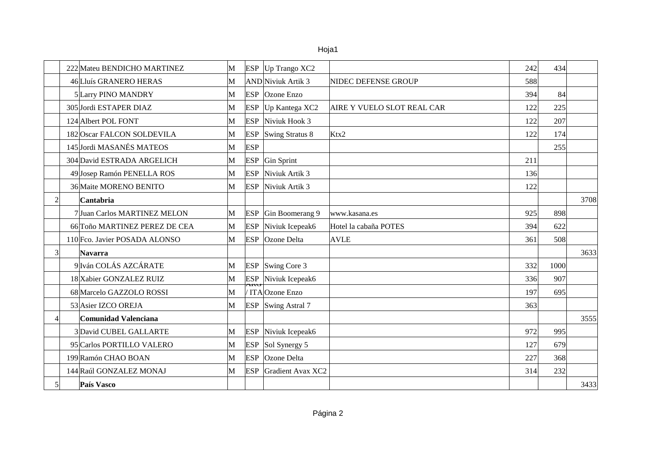|   | 222 Mateu BENDICHO MARTINEZ   | M |            | $ESP$ Up Trango XC2        |                            | 242 | 434  |      |
|---|-------------------------------|---|------------|----------------------------|----------------------------|-----|------|------|
|   | 46 Lluís GRANERO HERAS        | M |            | AND Niviuk Artik 3         | NIDEC DEFENSE GROUP        | 588 |      |      |
|   | 5 Larry PINO MANDRY           | M | <b>ESP</b> | <b>Ozone Enzo</b>          |                            | 394 | 84   |      |
|   | 305 Jordi ESTAPER DIAZ        | M | <b>ESP</b> | Up Kantega XC2             | AIRE Y VUELO SLOT REAL CAR | 122 | 225  |      |
|   | 124 Albert POL FONT           | M | <b>ESP</b> | Niviuk Hook 3              |                            | 122 | 207  |      |
|   | 182 Oscar FALCON SOLDEVILA    | M | <b>ESP</b> | Swing Stratus 8            | Ktx2                       | 122 | 174  |      |
|   | 145 Jordi MASANÉS MATEOS      | M | <b>ESP</b> |                            |                            |     | 255  |      |
|   | 304 David ESTRADA ARGELICH    | M | <b>ESP</b> | Gin Sprint                 |                            | 211 |      |      |
|   | 49 Josep Ramón PENELLA ROS    | M | <b>ESP</b> | Niviuk Artik 3             |                            | 136 |      |      |
|   | 36 Maite MORENO BENITO        | M | <b>ESP</b> | Niviuk Artik 3             |                            | 122 |      |      |
| 2 | Cantabria                     |   |            |                            |                            |     |      | 3708 |
|   | 7 Juan Carlos MARTINEZ MELON  | M | <b>ESP</b> | Gin Boomerang 9            | www.kasana.es              | 925 | 898  |      |
|   | 66 Toño MARTINEZ PEREZ DE CEA | M | <b>ESP</b> | Niviuk Icepeak6            | Hotel la cabaña POTES      | 394 | 622  |      |
|   | 110 Fco. Javier POSADA ALONSO | M | <b>ESP</b> | <b>Ozone</b> Delta         | <b>AVLE</b>                | 361 | 508  |      |
| 3 | Navarra                       |   |            |                            |                            |     |      | 3633 |
|   | 9Iván COLÁS AZCÁRATE          | M |            | <b>ESP</b> Swing Core 3    |                            | 332 | 1000 |      |
|   | 18 Xabier GONZALEZ RUIZ       | M |            | ESP Niviuk Icepeak6        |                            | 336 | 907  |      |
|   | 68 Marcelo GAZZOLO ROSSI      | M |            | / ITAOzone Enzo            |                            | 197 | 695  |      |
|   | 53 Asier IZCO OREJA           | M |            | <b>ESP</b> Swing Astral 7  |                            | 363 |      |      |
|   | <b>Comunidad Valenciana</b>   |   |            |                            |                            |     |      | 3555 |
|   | 3 David CUBEL GALLARTE        | M |            | <b>ESP</b> Niviuk Icepeak6 |                            | 972 | 995  |      |
|   | 95 Carlos PORTILLO VALERO     | M | <b>ESP</b> | Sol Synergy 5              |                            | 127 | 679  |      |
|   | 199 Ramón CHAO BOAN           | M | <b>ESP</b> | Ozone Delta                |                            | 227 | 368  |      |
|   | 144 Raúl GONZALEZ MONAJ       | M | <b>ESP</b> | Gradient Avax XC2          |                            | 314 | 232  |      |
|   | País Vasco                    |   |            |                            |                            |     |      | 3433 |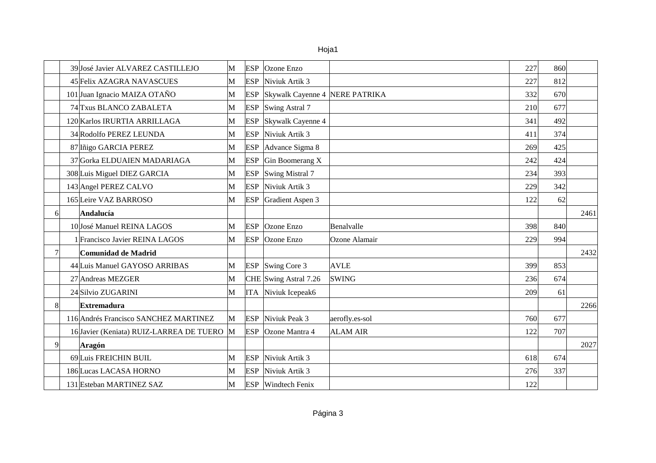|--|

|   | 39 José Javier ALVAREZ CASTILLEJO          | M | <b>ESP</b> | Ozone Enzo                     |                 | 227 | 860 |      |
|---|--------------------------------------------|---|------------|--------------------------------|-----------------|-----|-----|------|
|   | 45 Felix AZAGRA NAVASCUES                  | M | <b>ESP</b> | Niviuk Artik 3                 |                 | 227 | 812 |      |
|   | 101 Juan Ignacio MAIZA OTAÑO               | М | <b>ESP</b> | Skywalk Cayenne 4 NERE PATRIKA |                 | 332 | 670 |      |
|   | 74 Txus BLANCO ZABALETA                    | M | <b>ESP</b> | Swing Astral 7                 |                 | 210 | 677 |      |
|   | 120 Karlos IRURTIA ARRILLAGA               | M | <b>ESP</b> | Skywalk Cayenne 4              |                 | 341 | 492 |      |
|   | 34 Rodolfo PEREZ LEUNDA                    | M | <b>ESP</b> | Niviuk Artik 3                 |                 | 411 | 374 |      |
|   | 87 Iñigo GARCIA PEREZ                      | M | <b>ESP</b> | Advance Sigma 8                |                 | 269 | 425 |      |
|   | 37 Gorka ELDUAIEN MADARIAGA                | M | <b>ESP</b> | Gin Boomerang X                |                 | 242 | 424 |      |
|   | 308 Luis Miguel DIEZ GARCIA                | M | <b>ESP</b> | Swing Mistral 7                |                 | 234 | 393 |      |
|   | 143 Angel PEREZ CALVO                      | M | <b>ESP</b> | Niviuk Artik 3                 |                 | 229 | 342 |      |
|   | 165 Leire VAZ BARROSO                      | M | <b>ESP</b> | Gradient Aspen 3               |                 | 122 | 62  |      |
| 6 | Andalucía                                  |   |            |                                |                 |     |     | 2461 |
|   | 10 José Manuel REINA LAGOS                 | M | <b>ESP</b> | Ozone Enzo                     | Benalvalle      | 398 | 840 |      |
|   | 1 Francisco Javier REINA LAGOS             | M | <b>ESP</b> | Ozone Enzo                     | Ozone Alamair   | 229 | 994 |      |
|   | Comunidad de Madrid                        |   |            |                                |                 |     |     | 2432 |
|   | 44 Luis Manuel GAYOSO ARRIBAS              | М |            | <b>ESP</b> Swing Core 3        | <b>AVLE</b>     | 399 | 853 |      |
|   | 27 Andreas MEZGER                          | M |            | CHE Swing Astral 7.26          | <b>SWING</b>    | 236 | 674 |      |
|   | 24 Silvio ZUGARINI                         | M | <b>ITA</b> | Niviuk Icepeak6                |                 | 209 | 61  |      |
| 8 | Extremadura                                |   |            |                                |                 |     |     | 2266 |
|   | 116 Andrés Francisco SANCHEZ MARTINEZ      | M |            | <b>ESP</b> Niviuk Peak 3       | aerofly.es-sol  | 760 | 677 |      |
|   | 16 Javier (Keniata) RUIZ-LARREA DE TUERO M |   | <b>ESP</b> | Ozone Mantra 4                 | <b>ALAM AIR</b> | 122 | 707 |      |
| 9 | <b>Aragón</b>                              |   |            |                                |                 |     |     | 2027 |
|   | 69Luis FREICHIN BUIL                       | M | ESP        | Niviuk Artik 3                 |                 | 618 | 674 |      |
|   | 186 Lucas LACASA HORNO                     | M | <b>ESP</b> | Niviuk Artik 3                 |                 | 276 | 337 |      |
|   | 131 Esteban MARTINEZ SAZ                   | M |            | <b>ESP</b> Windtech Fenix      |                 | 122 |     |      |